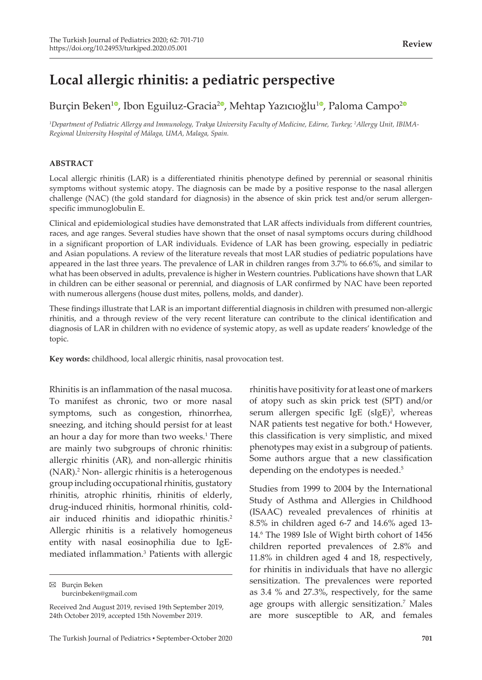# **Local allergic rhinitis: a pediatric perspective**

## Burçin Beken<sup>10</sup>[,](https://orcid.org/0000-0001-7677-7690) Ibon Eguiluz-Gracia<sup>[2](https://orcid.org/0000-0003-3734-0351)0</sup>, Mehtap Yazıcıoğlu<sup>[1](https://orcid.org/0000-0001-9197-1344)0</sup>, Paloma Campo<sup>20</sup>

*1 Department of Pediatric Allergy and Immunology, Trakya University Faculty of Medicine, Edirne, Turkey; <sup>2</sup> Allergy Unit, IBIMA-Regional University Hospital of Málaga, UMA, Malaga, Spain.*

#### **ABSTRACT**

Local allergic rhinitis (LAR) is a differentiated rhinitis phenotype defined by perennial or seasonal rhinitis symptoms without systemic atopy. The diagnosis can be made by a positive response to the nasal allergen challenge (NAC) (the gold standard for diagnosis) in the absence of skin prick test and/or serum allergenspecific immunoglobulin E.

Clinical and epidemiological studies have demonstrated that LAR affects individuals from different countries, races, and age ranges. Several studies have shown that the onset of nasal symptoms occurs during childhood in a significant proportion of LAR individuals. Evidence of LAR has been growing, especially in pediatric and Asian populations. A review of the literature reveals that most LAR studies of pediatric populations have appeared in the last three years. The prevalence of LAR in children ranges from 3.7% to 66.6%, and similar to what has been observed in adults, prevalence is higher in Western countries. Publications have shown that LAR in children can be either seasonal or perennial, and diagnosis of LAR confirmed by NAC have been reported with numerous allergens (house dust mites, pollens, molds, and dander).

These findings illustrate that LAR is an important differential diagnosis in children with presumed non-allergic rhinitis, and a through review of the very recent literature can contribute to the clinical identification and diagnosis of LAR in children with no evidence of systemic atopy, as well as update readers' knowledge of the topic.

**Key words:** childhood, local allergic rhinitis, nasal provocation test.

Rhinitis is an inflammation of the nasal mucosa. To manifest as chronic, two or more nasal symptoms, such as congestion, rhinorrhea, sneezing, and itching should persist for at least an hour a day for more than two weeks.<sup>1</sup> There are mainly two subgroups of chronic rhinitis: allergic rhinitis (AR), and non-allergic rhinitis (NAR).<sup>2</sup> Non- allergic rhinitis is a heterogenous group including occupational rhinitis, gustatory rhinitis, atrophic rhinitis, rhinitis of elderly, drug-induced rhinitis, hormonal rhinitis, coldair induced rhinitis and idiopathic rhinitis.<sup>2</sup> Allergic rhinitis is a relatively homogeneus entity with nasal eosinophilia due to IgEmediated inflammation.3 Patients with allergic

 $\boxtimes$  Burçin Beken burcinbeken@gmail.com

rhinitis have positivity for at least one of markers of atopy such as skin prick test (SPT) and/or serum allergen specific IgE (sIgE)<sup>3</sup>, whereas NAR patients test negative for both.<sup>4</sup> However, this classification is very simplistic, and mixed phenotypes may exist in a subgroup of patients. Some authors argue that a new classification depending on the endotypes is needed.<sup>5</sup>

Studies from 1999 to 2004 by the International Study of Asthma and Allergies in Childhood (ISAAC) revealed prevalences of rhinitis at 8.5% in children aged 6-7 and 14.6% aged 13- 14.<sup>6</sup> The 1989 Isle of Wight birth cohort of 1456 children reported prevalences of 2.8% and 11.8% in children aged 4 and 18, respectively, for rhinitis in individuals that have no allergic sensitization. The prevalences were reported as 3.4 % and 27.3%, respectively, for the same age groups with allergic sensitization.<sup>7</sup> Males are more susceptible to AR, and females

Received 2nd August 2019, revised 19th September 2019, 24th October 2019, accepted 15th November 2019.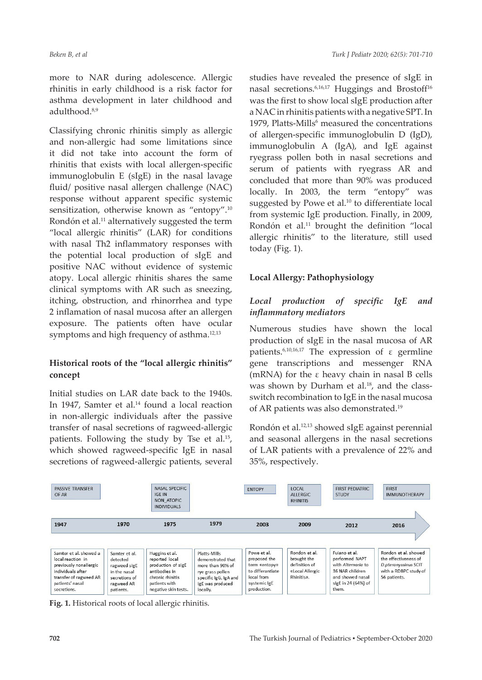more to NAR during adolescence. Allergic rhinitis in early childhood is a risk factor for asthma development in later childhood and adulthood.8,9

Classifying chronic rhinitis simply as allergic and non-allergic had some limitations since it did not take into account the form of rhinitis that exists with local allergen-specific immunoglobulin E (sIgE) in the nasal lavage fluid/ positive nasal allergen challenge (NAC) response without apparent specific systemic sensitization, otherwise known as "entopy".<sup>10</sup> Rondón et al.<sup>11</sup> alternatively suggested the term "local allergic rhinitis" (LAR) for conditions with nasal Th2 inflammatory responses with the potential local production of sIgE and positive NAC without evidence of systemic atopy. Local allergic rhinitis shares the same clinical symptoms with AR such as sneezing, itching, obstruction, and rhinorrhea and type 2 inflamation of nasal mucosa after an allergen exposure. The patients often have ocular symptoms and high frequency of asthma.<sup>12,13</sup>

## **Historical roots of the "local allergic rhinitis" concept**

Initial studies on LAR date back to the 1940s. In 1947, Samter et al.<sup>14</sup> found a local reaction in non-allergic individuals after the passive transfer of nasal secretions of ragweed-allergic patients. Following the study by Tse et al.<sup>15</sup>, which showed ragweed-specific IgE in nasal secretions of ragweed-allergic patients, several studies have revealed the presence of sIgE in nasal secretions.<sup>6,16,17</sup> Huggings and Brostoff<sup>16</sup> was the first to show local sIgE production after a NAC in rhinitis patients with a negative SPT. In 1979, Platts-Mills<sup>6</sup> measured the concentrations of allergen-specific immunoglobulin D (IgD), immunoglobulin A (IgA), and IgE against ryegrass pollen both in nasal secretions and serum of patients with ryegrass AR and concluded that more than 90% was produced locally. In 2003, the term "entopy" was suggested by Powe et al.<sup>10</sup> to differentiate local from systemic IgE production. Finally, in 2009, Rondón et al.<sup>11</sup> brought the definition "local allergic rhinitis" to the literature, still used today (Fig. 1).

## **Local Allergy: Pathophysiology**

## *Local production of specific IgE and inflammatory mediators*

Numerous studies have shown the local production of sIgE in the nasal mucosa of AR patients.<sup>6,10,16,17</sup> The expression of ε germline gene transcriptions and messenger RNA (mRNA) for the ε heavy chain in nasal B cells was shown by Durham et al. $18$ , and the classswitch recombination to IgE in the nasal mucosa of AR patients was also demonstrated.19

Rondón et al.12,13 showed sIgE against perennial and seasonal allergens in the nasal secretions of LAR patients with a prevalence of 22% and 35%, respectively.



**Fig. 1.** Historical roots of local allergic rhinitis.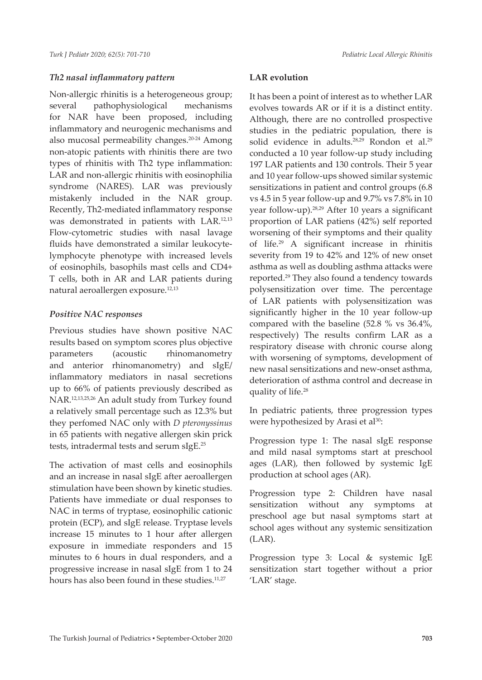#### *Th2 nasal inflammatory pattern*

Non-allergic rhinitis is a heterogeneous group; several pathophysiological mechanisms for NAR have been proposed, including inflammatory and neurogenic mechanisms and also mucosal permeability changes.20-24 Among non-atopic patients with rhinitis there are two types of rhinitis with Th2 type inflammation: LAR and non-allergic rhinitis with eosinophilia syndrome (NARES). LAR was previously mistakenly included in the NAR group. Recently, Th2-mediated inflammatory response was demonstrated in patients with LAR.12,13 Flow-cytometric studies with nasal lavage fluids have demonstrated a similar leukocytelymphocyte phenotype with increased levels of eosinophils, basophils mast cells and CD4+ T cells, both in AR and LAR patients during natural aeroallergen exposure.12,13

#### *Positive NAC responses*

Previous studies have shown positive NAC results based on symptom scores plus objective parameters (acoustic rhinomanometry and anterior rhinomanometry) and sIgE/ inflammatory mediators in nasal secretions up to 66% of patients previously described as NAR.12,13,25,26 An adult study from Turkey found a relatively small percentage such as 12.3% but they perfomed NAC only with *D pteronyssinus* in 65 patients with negative allergen skin prick tests, intradermal tests and serum sIgE.25

The activation of mast cells and eosinophils and an increase in nasal sIgE after aeroallergen stimulation have been shown by kinetic studies. Patients have immediate or dual responses to NAC in terms of tryptase, eosinophilic cationic protein (ECP), and sIgE release. Tryptase levels increase 15 minutes to 1 hour after allergen exposure in immediate responders and 15 minutes to 6 hours in dual responders, and a progressive increase in nasal sIgE from 1 to 24 hours has also been found in these studies.<sup>11,27</sup>

#### **LAR evolution**

It has been a point of interest as to whether LAR evolves towards AR or if it is a distinct entity. Although, there are no controlled prospective studies in the pediatric population, there is solid evidence in adults.<sup>28,29</sup> Rondon et al.<sup>29</sup> conducted a 10 year follow-up study including 197 LAR patients and 130 controls. Their 5 year and 10 year follow-ups showed similar systemic sensitizations in patient and control groups (6.8 vs 4.5 in 5 year follow-up and 9.7% vs 7.8% in 10 year follow-up).28,29 After 10 years a significant proportion of LAR patiens (42%) self reported worsening of their symptoms and their quality of life.29 A significant increase in rhinitis severity from 19 to 42% and 12% of new onset asthma as well as doubling asthma attacks were reported.<sup>29</sup> They also found a tendency towards polysensitization over time. The percentage of LAR patients with polysensitization was significantly higher in the 10 year follow-up compared with the baseline (52.8 % vs 36.4%, respectively) The results confirm LAR as a respiratory disease with chronic course along with worsening of symptoms, development of new nasal sensitizations and new-onset asthma, deterioration of asthma control and decrease in quality of life.28

In pediatric patients, three progression types were hypothesized by Arasi et al<sup>30</sup>:

Progression type 1: The nasal sIgE response and mild nasal symptoms start at preschool ages (LAR), then followed by systemic IgE production at school ages (AR).

Progression type 2: Children have nasal sensitization without any symptoms at preschool age but nasal symptoms start at school ages without any systemic sensitization (LAR).

Progression type 3: Local & systemic IgE sensitization start together without a prior 'LAR' stage.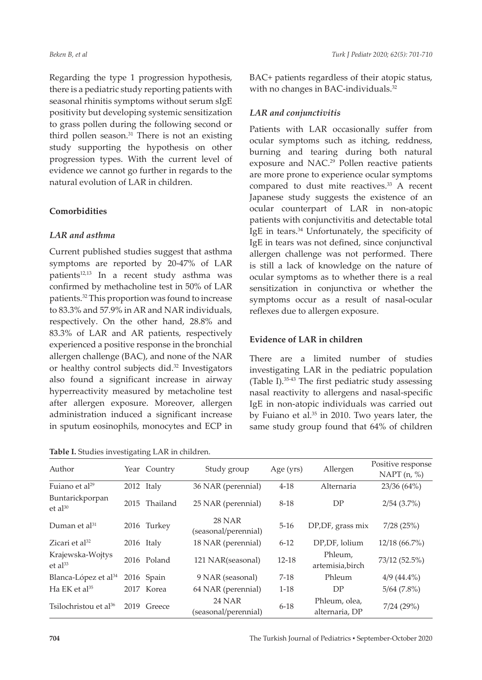Regarding the type 1 progression hypothesis, there is a pediatric study reporting patients with seasonal rhinitis symptoms without serum sIgE positivity but developing systemic sensitization to grass pollen during the following second or third pollen season.<sup>31</sup> There is not an existing study supporting the hypothesis on other progression types. With the current level of evidence we cannot go further in regards to the natural evolution of LAR in children.

#### **Comorbidities**

#### *LAR and asthma*

Current published studies suggest that asthma symptoms are reported by 20-47% of LAR patients<sup>12,13</sup> In a recent study asthma was confirmed by methacholine test in 50% of LAR patients.<sup>32</sup> This proportion was found to increase to 83.3% and 57.9% in AR and NAR individuals, respectively. On the other hand, 28.8% and 83.3% of LAR and AR patients, respectively experienced a positive response in the bronchial allergen challenge (BAC), and none of the NAR or healthy control subjects did.<sup>32</sup> Investigators also found a significant increase in airway hyperreactivity measured by metacholine test after allergen exposure. Moreover, allergen administration induced a significant increase in sputum eosinophils, monocytes and ECP in

**Table I.** Studies investigating LAR in children.

BAC+ patients regardless of their atopic status, with no changes in BAC-individuals.<sup>32</sup>

### *LAR and conjunctivitis*

Patients with LAR occasionally suffer from ocular symptoms such as itching, reddness, burning and tearing during both natural exposure and NAC.<sup>29</sup> Pollen reactive patients are more prone to experience ocular symptoms compared to dust mite reactives.<sup>33</sup> A recent Japanese study suggests the existence of an ocular counterpart of LAR in non-atopic patients with conjunctivitis and detectable total IgE in tears.34 Unfortunately, the specificity of IgE in tears was not defined, since conjunctival allergen challenge was not performed. There is still a lack of knowledge on the nature of ocular symptoms as to whether there is a real sensitization in conjunctiva or whether the symptoms occur as a result of nasal-ocular reflexes due to allergen exposure.

#### **Evidence of LAR in children**

There are a limited number of studies investigating LAR in the pediatric population (Table I).35-43 The first pediatric study assessing nasal reactivity to allergens and nasal-specific IgE in non-atopic individuals was carried out by Fuiano et al.35 in 2010. Two years later, the same study group found that 64% of children

| Author                            | Year Country  | Study group                           | Age (yrs) | Allergen                        | Positive response<br>NAPT $(n, %)$ |
|-----------------------------------|---------------|---------------------------------------|-----------|---------------------------------|------------------------------------|
| Fuiano et al <sup>29</sup>        | 2012 Italy    | 36 NAR (perennial)                    | $4 - 18$  | Alternaria                      | 23/36 (64%)                        |
| Buntarickporpan<br>$et al^{30}$   | 2015 Thailand | 25 NAR (perennial)                    | 8-18      | DP                              | 2/54(3.7%)                         |
| Duman et al <sup>31</sup>         | 2016 Turkey   | <b>28 NAR</b><br>(seasonal/perennial) | $5-16$    | DP, DF, grass mix               | 7/28(25%)                          |
| Zicari et $al^{32}$               | 2016 Italy    | 18 NAR (perennial)                    | $6 - 12$  | DP, DF, lolium                  | $12/18(66.7\%)$                    |
| Krajewska-Wojtys<br>$et al^{33}$  | 2016 Poland   | 121 NAR(seasonal)                     | $12 - 18$ | Phleum,<br>artemisia, birch     | 73/12 (52.5%)                      |
| Blanca-López et al <sup>34</sup>  | 2016 Spain    | 9 NAR (seasonal)                      | $7-18$    | Phleum                          | $4/9(44.4\%)$                      |
| Ha EK et al <sup>35</sup>         | 2017 Korea    | 64 NAR (perennial)                    | $1-18$    | DP                              | $5/64$ $(7.8\%)$                   |
| Tsilochristou et al <sup>36</sup> | 2019 Greece   | <b>24 NAR</b><br>(seasonal/perennial) | $6 - 18$  | Phleum, olea,<br>alternaria, DP | 7/24(29%)                          |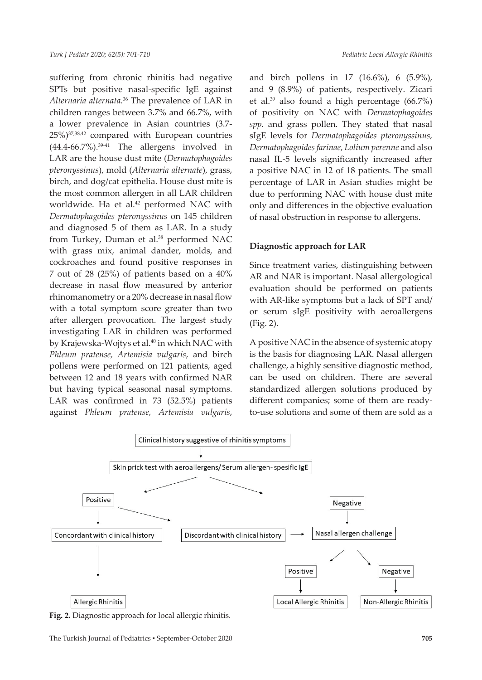suffering from chronic rhinitis had negative SPTs but positive nasal-specific IgE against *Alternaria alternata*. 36 The prevalence of LAR in children ranges between 3.7% and 66.7%, with a lower prevalence in Asian countries (3.7- 25%)37,38,42 compared with European countries  $(44.4-66.7\%)$ <sup>39-41</sup> The allergens involved in LAR are the house dust mite (*Dermatophagoides pteronyssinus*), mold (*Alternaria alternate*), grass, birch, and dog/cat epithelia. House dust mite is the most common allergen in all LAR children worldwide. Ha et al.<sup>42</sup> performed NAC with *Dermatophagoides pteronyssinus* on 145 children and diagnosed 5 of them as LAR. In a study from Turkey, Duman et al.<sup>38</sup> performed NAC with grass mix, animal dander, molds, and cockroaches and found positive responses in 7 out of 28 (25%) of patients based on a 40% decrease in nasal flow measured by anterior rhinomanometry or a 20% decrease in nasal flow with a total symptom score greater than two after allergen provocation. The largest study investigating LAR in children was performed by Krajewska-Wojtys et al.<sup>40</sup> in which NAC with *Phleum pratense, Artemisia vulgaris*, and birch pollens were performed on 121 patients, aged between 12 and 18 years with confirmed NAR but having typical seasonal nasal symptoms. LAR was confirmed in 73 (52.5%) patients against *Phleum pratense, Artemisia vulgaris*,

and birch pollens in 17 (16.6%), 6 (5.9%), and 9 (8.9%) of patients, respectively. Zicari et al.39 also found a high percentage (66.7%) of positivity on NAC with *Dermatophagoides spp*. and grass pollen. They stated that nasal sIgE levels for *Dermatophagoides pteronyssinus, Dermatophagoides farinae, Lolium perenne* and also nasal IL-5 levels significantly increased after a positive NAC in 12 of 18 patients. The small percentage of LAR in Asian studies might be due to performing NAC with house dust mite only and differences in the objective evaluation of nasal obstruction in response to allergens.

#### **Diagnostic approach for LAR**

Since treatment varies, distinguishing between AR and NAR is important. Nasal allergological evaluation should be performed on patients with AR-like symptoms but a lack of SPT and/ or serum sIgE positivity with aeroallergens (Fig. 2).

A positive NAC in the absence of systemic atopy is the basis for diagnosing LAR. Nasal allergen challenge, a highly sensitive diagnostic method, can be used on children. There are several standardized allergen solutions produced by different companies; some of them are readyto-use solutions and some of them are sold as a



**Fig. 2.** Diagnostic approach for local allergic rhinitis.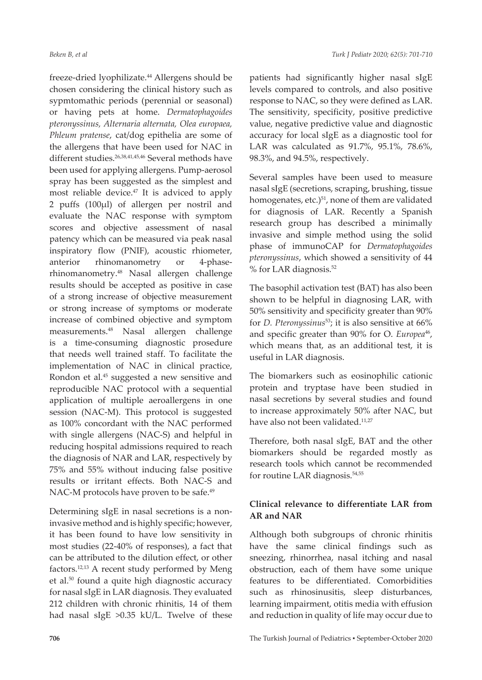freeze-dried lyophilizate.44 Allergens should be chosen considering the clinical history such as sypmtomathic periods (perennial or seasonal) or having pets at home. *Dermatophagoides pteronyssinus, Alternaria alternata, Olea europaea, Phleum pratense*, cat/dog epithelia are some of the allergens that have been used for NAC in different studies.26,38,41,45,46 Several methods have been used for applying allergens. Pump-aerosol spray has been suggested as the simplest and most reliable device.47 It is adviced to apply 2 puffs (100µl) of allergen per nostril and evaluate the NAC response with symptom scores and objective assessment of nasal patency which can be measured via peak nasal inspiratory flow (PNIF), acoustic rhiometer, anterior rhinomanometry or 4-phaserhinomanometry.48 Nasal allergen challenge results should be accepted as positive in case of a strong increase of objective measurement or strong increase of symptoms or moderate increase of combined objective and symptom measurements.48 Nasal allergen challenge is a time-consuming diagnostic prosedure that needs well trained staff. To facilitate the implementation of NAC in clinical practice, Rondon et al.45 suggested a new sensitive and reproducible NAC protocol with a sequential application of multiple aeroallergens in one session (NAC-M). This protocol is suggested as 100% concordant with the NAC performed with single allergens (NAC-S) and helpful in reducing hospital admissions required to reach the diagnosis of NAR and LAR, respectively by 75% and 55% without inducing false positive results or irritant effects. Both NAC-S and NAC-M protocols have proven to be safe.<sup>49</sup>

Determining sIgE in nasal secretions is a noninvasive method and is highly specific; however, it has been found to have low sensitivity in most studies (22-40% of responses), a fact that can be attributed to the dilution effect, or other factors.12,13 A recent study performed by Meng et al.50 found a quite high diagnostic accuracy for nasal sIgE in LAR diagnosis. They evaluated 212 children with chronic rhinitis, 14 of them had nasal sIgE >0.35 kU/L. Twelve of these

patients had significantly higher nasal sIgE levels compared to controls, and also positive response to NAC, so they were defined as LAR. The sensitivity, specificity, positive predictive value, negative predictive value and diagnostic accuracy for local sIgE as a diagnostic tool for LAR was calculated as 91.7%, 95.1%, 78.6%, 98.3%, and 94.5%, respectively.

Several samples have been used to measure nasal sIgE (secretions, scraping, brushing, tissue homogenates, etc.)<sup>51</sup>, none of them are validated for diagnosis of LAR. Recently a Spanish research group has described a minimally invasive and simple method using the solid phase of immunoCAP for *Dermatophagoides pteronyssinus*, which showed a sensitivity of 44 % for LAR diagnosis.52

The basophil activation test (BAT) has also been shown to be helpful in diagnosing LAR, with 50% sensitivity and specificity greater than 90% for *D. Pteronyssinus*53; it is also sensitive at 66% and specific greater than 90% for O. *Europea*<sup>46</sup>, which means that, as an additional test, it is useful in LAR diagnosis.

The biomarkers such as eosinophilic cationic protein and tryptase have been studied in nasal secretions by several studies and found to increase approximately 50% after NAC, but have also not been validated.<sup>11,27</sup>

Therefore, both nasal sIgE, BAT and the other biomarkers should be regarded mostly as research tools which cannot be recommended for routine LAR diagnosis.<sup>54,55</sup>

## **Clinical relevance to differentiate LAR from AR and NAR**

Although both subgroups of chronic rhinitis have the same clinical findings such as sneezing, rhinorrhea, nasal itching and nasal obstruction, each of them have some unique features to be differentiated. Comorbidities such as rhinosinusitis, sleep disturbances, learning impairment, otitis media with effusion and reduction in quality of life may occur due to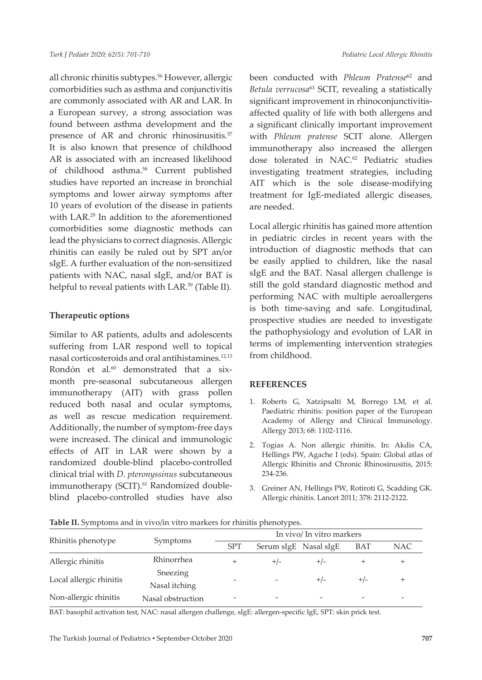all chronic rhinitis subtypes.<sup>56</sup> However, allergic comorbidities such as asthma and conjunctivitis are commonly associated with AR and LAR. In a European survey, a strong association was found between asthma development and the presence of AR and chronic rhinosinusitis.<sup>57</sup> It is also known that presence of childhood AR is associated with an increased likelihood of childhood asthma.58 Current published studies have reported an increase in bronchial symptoms and lower airway symptoms after 10 years of evolution of the disease in patients with LAR.<sup>29</sup> In addition to the aforementioned comorbidities some diagnostic methods can lead the physicians to correct diagnosis. Allergic rhinitis can easily be ruled out by SPT an/or sIgE. A further evaluation of the non-sensitized patients with NAC, nasal sIgE, and/or BAT is helpful to reveal patients with LAR.<sup>59</sup> (Table II).

#### **Therapeutic options**

Similar to AR patients, adults and adolescents suffering from LAR respond well to topical nasal corticosteroids and oral antihistamines.12,13 Rondón et al.<sup>60</sup> demonstrated that a sixmonth pre-seasonal subcutaneous allergen immunotherapy (AIT) with grass pollen reduced both nasal and ocular symptoms, as well as rescue medication requirement. Additionally, the number of symptom-free days were increased. The clinical and immunologic effects of AIT in LAR were shown by a randomized double-blind placebo-controlled clinical trial with *D. pteronyssinus* subcutaneous immunotherapy (SCIT).<sup>61</sup> Randomized doubleblind placebo-controlled studies have also

been conducted with *Phleum Pratense*62 and *Betula verrucosa*63 SCIT, revealing a statistically significant improvement in rhinoconjunctivitisaffected quality of life with both allergens and a significant clinically important improvement with *Phleum pratense* SCIT alone. Allergen immunotherapy also increased the allergen dose tolerated in NAC.<sup>62</sup> Pediatric studies investigating treatment strategies, including AIT which is the sole disease-modifying treatment for IgE-mediated allergic diseases, are needed.

Local allergic rhinitis has gained more attention in pediatric circles in recent years with the introduction of diagnostic methods that can be easily applied to children, like the nasal sIgE and the BAT. Nasal allergen challenge is still the gold standard diagnostic method and performing NAC with multiple aeroallergens is both time-saving and safe. Longitudinal, prospective studies are needed to investigate the pathophysiology and evolution of LAR in terms of implementing intervention strategies from childhood.

#### **REFERENCES**

- 1. Roberts G, Xatzipsalti M, Borrego LM, et al. Paediatric rhinitis: position paper of the European Academy of Allergy and Clinical Immunology. Allergy 2013; 68: 1102-1116.
- 2. Togias A. Non allergic rhinitis. In: Akdis CA, Hellings PW, Agache I (eds). Spain: Global atlas of Allergic Rhinitis and Chronic Rhinosinusitis, 2015: 234-236.
- 3. Greiner AN, Hellings PW, Rotiroti G, Scadding GK. Allergic rhinitis. Lancet 2011; 378: 2112-2122.

|                         |                           | In vivo/ In vitro markers |                       |       |       |       |  |
|-------------------------|---------------------------|---------------------------|-----------------------|-------|-------|-------|--|
| Rhinitis phenotype      | Symptoms                  | <b>SPT</b>                | Serum sIgE Nasal sIgE |       | BAT   | NAC   |  |
| Allergic rhinitis       | Rhinorrhea                |                           | $+/-$                 | $+/-$ |       | $^+$  |  |
| Local allergic rhinitis | Sneezing<br>Nasal itching |                           |                       | $+/-$ | $+/-$ | $\pm$ |  |
| Non-allergic rhinitis   | Nasal obstruction         |                           |                       |       |       |       |  |

**Table II.** Symptoms and in vivo/in vitro markers for rhinitis phenotypes.

BAT: basophil activation test, NAC: nasal allergen challenge, sIgE: allergen-specific IgE, SPT: skin prick test.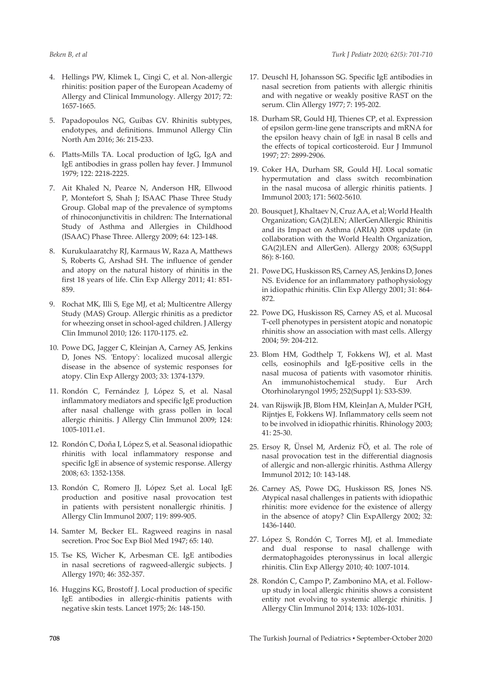- 4. Hellings PW, Klimek L, Cingi C, et al. Non-allergic rhinitis: position paper of the European Academy of Allergy and Clinical Immunology. Allergy 2017; 72: 1657-1665.
- 5. Papadopoulos NG, Guibas GV. Rhinitis subtypes, endotypes, and definitions. Immunol Allergy Clin North Am 2016; 36: 215-233.
- 6. Platts-Mills TA. Local production of IgG, IgA and IgE antibodies in grass pollen hay fever. J Immunol 1979; 122: 2218-2225.
- 7. Ait Khaled N, Pearce N, Anderson HR, Ellwood P, Montefort S, Shah J; ISAAC Phase Three Study Group. Global map of the prevalence of symptoms of rhinoconjunctivitis in children: The International Study of Asthma and Allergies in Childhood (ISAAC) Phase Three. Allergy 2009; 64: 123-148.
- 8. Kurukulaaratchy RJ, Karmaus W, Raza A, Matthews S, Roberts G, Arshad SH. The influence of gender and atopy on the natural history of rhinitis in the first 18 years of life. Clin Exp Allergy 2011; 41: 851- 859.
- 9. Rochat MK, Illi S, Ege MJ, et al; Multicentre Allergy Study (MAS) Group. Allergic rhinitis as a predictor for wheezing onset in school-aged children. J Allergy Clin Immunol 2010; 126: 1170-1175. e2.
- 10. Powe DG, Jagger C, Kleinjan A, Carney AS, Jenkins D, Jones NS. 'Entopy': localized mucosal allergic disease in the absence of systemic responses for atopy. Clin Exp Allergy 2003; 33: 1374-1379.
- 11. Rondón C, Fernández J, López S, et al. Nasal inflammatory mediators and specific IgE production after nasal challenge with grass pollen in local allergic rhinitis. J Allergy Clin Immunol 2009; 124: 1005-1011.e1.
- 12. Rondón C, Doña I, López S, et al. Seasonal idiopathic rhinitis with local inflammatory response and specific IgE in absence of systemic response. Allergy 2008; 63: 1352-1358.
- 13. Rondón C, Romero JJ, López S,et al. Local IgE production and positive nasal provocation test in patients with persistent nonallergic rhinitis. J Allergy Clin Immunol 2007; 119: 899-905.
- 14. Samter M, Becker EL. Ragweed reagins in nasal secretion. Proc Soc Exp Biol Med 1947; 65: 140.
- 15. Tse KS, Wicher K, Arbesman CE. IgE antibodies in nasal secretions of ragweed-allergic subjects. J Allergy 1970; 46: 352-357.
- 16. Huggins KG, Brostoff J. Local production of specific IgE antibodies in allergic-rhinitis patients with negative skin tests. Lancet 1975; 26: 148-150.
- 17. Deuschl H, Johansson SG. Specific IgE antibodies in nasal secretion from patients with allergic rhinitis and with negative or weakly positive RAST on the serum. Clin Allergy 1977; 7: 195-202.
- 18. Durham SR, Gould HJ, Thienes CP, et al. Expression of epsilon germ-line gene transcripts and mRNA for the epsilon heavy chain of IgE in nasal B cells and the effects of topical corticosteroid. Eur J Immunol 1997; 27: 2899-2906.
- 19. Coker HA, Durham SR, Gould HJ. Local somatic hypermutation and class switch recombination in the nasal mucosa of allergic rhinitis patients. J Immunol 2003; 171: 5602-5610.
- 20. Bousquet J, Khaltaev N, Cruz AA, et al; World Health Organization; GA(2)LEN; AllerGenAllergic Rhinitis and its Impact on Asthma (ARIA) 2008 update (in collaboration with the World Health Organization, GA(2)LEN and AllerGen). Allergy 2008; 63(Suppl 86): 8-160.
- 21. Powe DG, Huskisson RS, Carney AS, Jenkins D, Jones NS. Evidence for an inflammatory pathophysiology in idiopathic rhinitis. Clin Exp Allergy 2001; 31: 864- 872.
- 22. Powe DG, Huskisson RS, Carney AS, et al. Mucosal T-cell phenotypes in persistent atopic and nonatopic rhinitis show an association with mast cells. Allergy 2004; 59: 204-212.
- 23. Blom HM, Godthelp T, Fokkens WJ, et al. Mast cells, eosinophils and IgE-positive cells in the nasal mucosa of patients with vasomotor rhinitis. An immunohistochemical study. Eur Arch Otorhinolaryngol 1995; 252(Suppl 1): S33-S39.
- 24. van Rijswijk JB, Blom HM, KleinJan A, Mulder PGH, Rijntjes E, Fokkens WJ. Inflammatory cells seem not to be involved in idiopathic rhinitis. Rhinology 2003; 41: 25-30.
- 25. Ersoy R, Ünsel M, Ardeniz FÖ, et al. The role of nasal provocation test in the differential diagnosis of allergic and non-allergic rhinitis. Asthma Allergy Immunol 2012; 10: 143-148.
- 26. Carney AS, Powe DG, Huskisson RS, Jones NS. Atypical nasal challenges in patients with idiopathic rhinitis: more evidence for the existence of allergy in the absence of atopy? Clin ExpAllergy 2002; 32: 1436-1440.
- 27. López S, Rondón C, Torres MJ, et al. Immediate and dual response to nasal challenge with dermatophagoides pteronyssinus in local allergic rhinitis. Clin Exp Allergy 2010; 40: 1007-1014.
- 28. Rondón C, Campo P, Zambonino MA, et al. Followup study in local allergic rhinitis shows a consistent entity not evolving to systemic allergic rhinitis. J Allergy Clin Immunol 2014; 133: 1026-1031.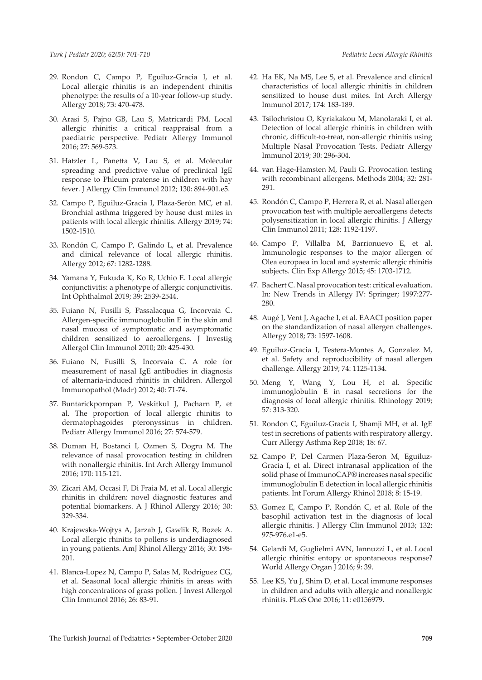- 29. Rondon C, Campo P, Eguiluz-Gracia I, et al. Local allergic rhinitis is an independent rhinitis phenotype: the results of a 10-year follow-up study. Allergy 2018; 73: 470-478.
- 30. Arasi S, Pajno GB, Lau S, Matricardi PM. Local allergic rhinitis: a critical reappraisal from a paediatric perspective. Pediatr Allergy Immunol 2016; 27: 569-573.
- 31. Hatzler L, Panetta V, Lau S, et al. Molecular spreading and predictive value of preclinical IgE response to Phleum pratense in children with hay fever. J Allergy Clin Immunol 2012; 130: 894-901.e5.
- 32. Campo P, Eguiluz-Gracia I, Plaza-Serón MC, et al. Bronchial asthma triggered by house dust mites in patients with local allergic rhinitis. Allergy 2019; 74: 1502-1510.
- 33. Rondón C, Campo P, Galindo L, et al. Prevalence and clinical relevance of local allergic rhinitis. Allergy 2012; 67: 1282-1288.
- 34. Yamana Y, Fukuda K, Ko R, Uchio E. Local allergic conjunctivitis: a phenotype of allergic conjunctivitis. Int Ophthalmol 2019; 39: 2539-2544.
- 35. Fuiano N, Fusilli S, Passalacqua G, Incorvaia C. Allergen-specific immunoglobulin E in the skin and nasal mucosa of symptomatic and asymptomatic children sensitized to aeroallergens. J Investig Allergol Clin Immunol 2010; 20: 425-430.
- 36. Fuiano N, Fusilli S, Incorvaia C. A role for measurement of nasal IgE antibodies in diagnosis of alternaria-induced rhinitis in children. Allergol Immunopathol (Madr) 2012; 40: 71-74.
- 37. Buntarickpornpan P, Veskitkul J, Pacharn P, et al. The proportion of local allergic rhinitis to dermatophagoides pteronyssinus in children. Pediatr Allergy Immunol 2016; 27: 574-579.
- 38. Duman H, Bostanci I, Ozmen S, Dogru M. The relevance of nasal provocation testing in children with nonallergic rhinitis. Int Arch Allergy Immunol 2016; 170: 115-121.
- 39. Zicari AM, Occasi F, Di Fraia M, et al. Local allergic rhinitis in children: novel diagnostic features and potential biomarkers. A J Rhinol Allergy 2016; 30: 329-334.
- 40. Krajewska-Wojtys A, Jarzab J, Gawlik R, Bozek A. Local allergic rhinitis to pollens is underdiagnosed in young patients. AmJ Rhinol Allergy 2016; 30: 198- 201.
- 41. Blanca-Lopez N, Campo P, Salas M, Rodriguez CG, et al. Seasonal local allergic rhinitis in areas with high concentrations of grass pollen. J Invest Allergol Clin Immunol 2016; 26: 83-91.
- 42. Ha EK, Na MS, Lee S, et al. Prevalence and clinical characteristics of local allergic rhinitis in children sensitized to house dust mites. Int Arch Allergy Immunol 2017; 174: 183-189.
- 43. Tsilochristou O, Kyriakakou M, Manolaraki I, et al. Detection of local allergic rhinitis in children with chronic, difficult-to-treat, non-allergic rhinitis using Multiple Nasal Provocation Tests. Pediatr Allergy Immunol 2019; 30: 296-304.
- 44. van Hage-Hamsten M, Pauli G. Provocation testing with recombinant allergens. Methods 2004; 32: 281- 291.
- 45. Rondón C, Campo P, Herrera R, et al. Nasal allergen provocation test with multiple aeroallergens detects polysensitization in local allergic rhinitis. J Allergy Clin Immunol 2011; 128: 1192-1197.
- 46. Campo P, Villalba M, Barrionuevo E, et al. Immunologic responses to the major allergen of Olea europaea in local and systemic allergic rhinitis subjects. Clin Exp Allergy 2015; 45: 1703-1712.
- 47. Bachert C. Nasal provocation test: critical evaluation. In: New Trends in Allergy IV: Springer; 1997:277- 280.
- 48. Augé J, Vent J, Agache I, et al. EAACI position paper on the standardization of nasal allergen challenges. Allergy 2018; 73: 1597-1608.
- 49. Eguiluz-Gracia I, Testera-Montes A, Gonzalez M, et al. Safety and reproducibility of nasal allergen challenge. Allergy 2019; 74: 1125-1134.
- 50. Meng Y, Wang Y, Lou H, et al. Specific immunoglobulin E in nasal secretions for the diagnosis of local allergic rhinitis. Rhinology 2019; 57: 313-320.
- 51. Rondon C, Eguiluz-Gracia I, Shamji MH, et al. IgE test in secretions of patients with respiratory allergy. Curr Allergy Asthma Rep 2018; 18: 67.
- 52. Campo P, Del Carmen Plaza-Seron M, Eguiluz-Gracia I, et al. Direct intranasal application of the solid phase of ImmunoCAP® increases nasal specific immunoglobulin E detection in local allergic rhinitis patients. Int Forum Allergy Rhinol 2018; 8: 15-19.
- 53. Gomez E, Campo P, Rondón C, et al. Role of the basophil activation test in the diagnosis of local allergic rhinitis. J Allergy Clin Immunol 2013; 132: 975-976.e1-e5.
- 54. Gelardi M, Guglielmi AVN, Iannuzzi L, et al. Local allergic rhinitis: entopy or spontaneous response? World Allergy Organ J 2016; 9: 39.
- 55. Lee KS, Yu J, Shim D, et al. Local immune responses in children and adults with allergic and nonallergic rhinitis. PLoS One 2016; 11: e0156979.